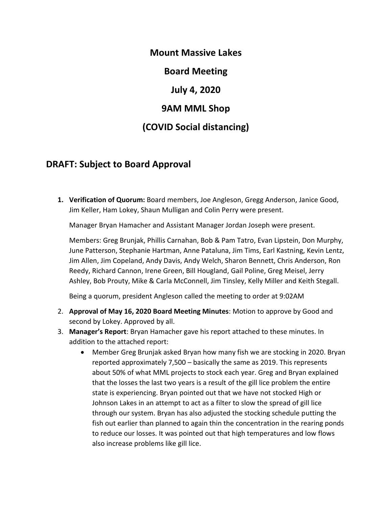**Mount Massive Lakes Board Meeting July 4, 2020 9AM MML Shop (COVID Social distancing)**

## **DRAFT: Subject to Board Approval**

**1. Verification of Quorum:** Board members, Joe Angleson, Gregg Anderson, Janice Good, Jim Keller, Ham Lokey, Shaun Mulligan and Colin Perry were present.

Manager Bryan Hamacher and Assistant Manager Jordan Joseph were present.

Members: Greg Brunjak, Phillis Carnahan, Bob & Pam Tatro, Evan Lipstein, Don Murphy, June Patterson, Stephanie Hartman, Anne Pataluna, Jim Tims, Earl Kastning, Kevin Lentz, Jim Allen, Jim Copeland, Andy Davis, Andy Welch, Sharon Bennett, Chris Anderson, Ron Reedy, Richard Cannon, Irene Green, Bill Hougland, Gail Poline, Greg Meisel, Jerry Ashley, Bob Prouty, Mike & Carla McConnell, Jim Tinsley, Kelly Miller and Keith Stegall.

Being a quorum, president Angleson called the meeting to order at 9:02AM

- 2. **Approval of May 16, 2020 Board Meeting Minutes**: Motion to approve by Good and second by Lokey. Approved by all.
- 3. **Manager's Report**: Bryan Hamacher gave his report attached to these minutes. In addition to the attached report:
	- Member Greg Brunjak asked Bryan how many fish we are stocking in 2020. Bryan reported approximately 7,500 – basically the same as 2019. This represents about 50% of what MML projects to stock each year. Greg and Bryan explained that the losses the last two years is a result of the gill lice problem the entire state is experiencing. Bryan pointed out that we have not stocked High or Johnson Lakes in an attempt to act as a filter to slow the spread of gill lice through our system. Bryan has also adjusted the stocking schedule putting the fish out earlier than planned to again thin the concentration in the rearing ponds to reduce our losses. It was pointed out that high temperatures and low flows also increase problems like gill lice.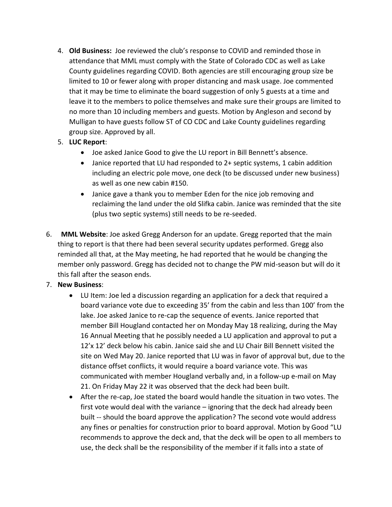- 4. **Old Business:** Joe reviewed the club's response to COVID and reminded those in attendance that MML must comply with the State of Colorado CDC as well as Lake County guidelines regarding COVID. Both agencies are still encouraging group size be limited to 10 or fewer along with proper distancing and mask usage. Joe commented that it may be time to eliminate the board suggestion of only 5 guests at a time and leave it to the members to police themselves and make sure their groups are limited to no more than 10 including members and guests. Motion by Angleson and second by Mulligan to have guests follow ST of CO CDC and Lake County guidelines regarding group size. Approved by all.
- 5. **LUC Report**:
	- Joe asked Janice Good to give the LU report in Bill Bennett's absence.
	- Janice reported that LU had responded to 2+ septic systems, 1 cabin addition including an electric pole move, one deck (to be discussed under new business) as well as one new cabin #150.
	- Janice gave a thank you to member Eden for the nice job removing and reclaiming the land under the old Slifka cabin. Janice was reminded that the site (plus two septic systems) still needs to be re-seeded.
- 6. **MML Website**: Joe asked Gregg Anderson for an update. Gregg reported that the main thing to report is that there had been several security updates performed. Gregg also reminded all that, at the May meeting, he had reported that he would be changing the member only password. Gregg has decided not to change the PW mid-season but will do it this fall after the season ends.

## 7. **New Business**:

- LU Item: Joe led a discussion regarding an application for a deck that required a board variance vote due to exceeding 35' from the cabin and less than 100' from the lake. Joe asked Janice to re-cap the sequence of events. Janice reported that member Bill Hougland contacted her on Monday May 18 realizing, during the May 16 Annual Meeting that he possibly needed a LU application and approval to put a 12'x 12' deck below his cabin. Janice said she and LU Chair Bill Bennett visited the site on Wed May 20. Janice reported that LU was in favor of approval but, due to the distance offset conflicts, it would require a board variance vote. This was communicated with member Hougland verbally and, in a follow-up e-mail on May 21. On Friday May 22 it was observed that the deck had been built.
- After the re-cap, Joe stated the board would handle the situation in two votes. The first vote would deal with the variance – ignoring that the deck had already been built -- should the board approve the application? The second vote would address any fines or penalties for construction prior to board approval. Motion by Good "LU recommends to approve the deck and, that the deck will be open to all members to use, the deck shall be the responsibility of the member if it falls into a state of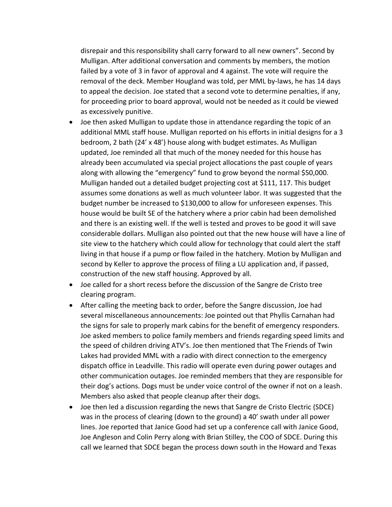disrepair and this responsibility shall carry forward to all new owners". Second by Mulligan. After additional conversation and comments by members, the motion failed by a vote of 3 in favor of approval and 4 against. The vote will require the removal of the deck. Member Hougland was told, per MML by-laws, he has 14 days to appeal the decision. Joe stated that a second vote to determine penalties, if any, for proceeding prior to board approval, would not be needed as it could be viewed as excessively punitive.

- Joe then asked Mulligan to update those in attendance regarding the topic of an additional MML staff house. Mulligan reported on his efforts in initial designs for a 3 bedroom, 2 bath (24' x 48') house along with budget estimates. As Mulligan updated, Joe reminded all that much of the money needed for this house has already been accumulated via special project allocations the past couple of years along with allowing the "emergency" fund to grow beyond the normal \$50,000. Mulligan handed out a detailed budget projecting cost at \$111, 117. This budget assumes some donations as well as much volunteer labor. It was suggested that the budget number be increased to \$130,000 to allow for unforeseen expenses. This house would be built SE of the hatchery where a prior cabin had been demolished and there is an existing well. If the well is tested and proves to be good it will save considerable dollars. Mulligan also pointed out that the new house will have a line of site view to the hatchery which could allow for technology that could alert the staff living in that house if a pump or flow failed in the hatchery. Motion by Mulligan and second by Keller to approve the process of filing a LU application and, if passed, construction of the new staff housing. Approved by all.
- Joe called for a short recess before the discussion of the Sangre de Cristo tree clearing program.
- After calling the meeting back to order, before the Sangre discussion, Joe had several miscellaneous announcements: Joe pointed out that Phyllis Carnahan had the signs for sale to properly mark cabins for the benefit of emergency responders. Joe asked members to police family members and friends regarding speed limits and the speed of children driving ATV's. Joe then mentioned that The Friends of Twin Lakes had provided MML with a radio with direct connection to the emergency dispatch office in Leadville. This radio will operate even during power outages and other communication outages. Joe reminded members that they are responsible for their dog's actions. Dogs must be under voice control of the owner if not on a leash. Members also asked that people cleanup after their dogs.
- Joe then led a discussion regarding the news that Sangre de Cristo Electric (SDCE) was in the process of clearing (down to the ground) a 40' swath under all power lines. Joe reported that Janice Good had set up a conference call with Janice Good, Joe Angleson and Colin Perry along with Brian Stilley, the COO of SDCE. During this call we learned that SDCE began the process down south in the Howard and Texas